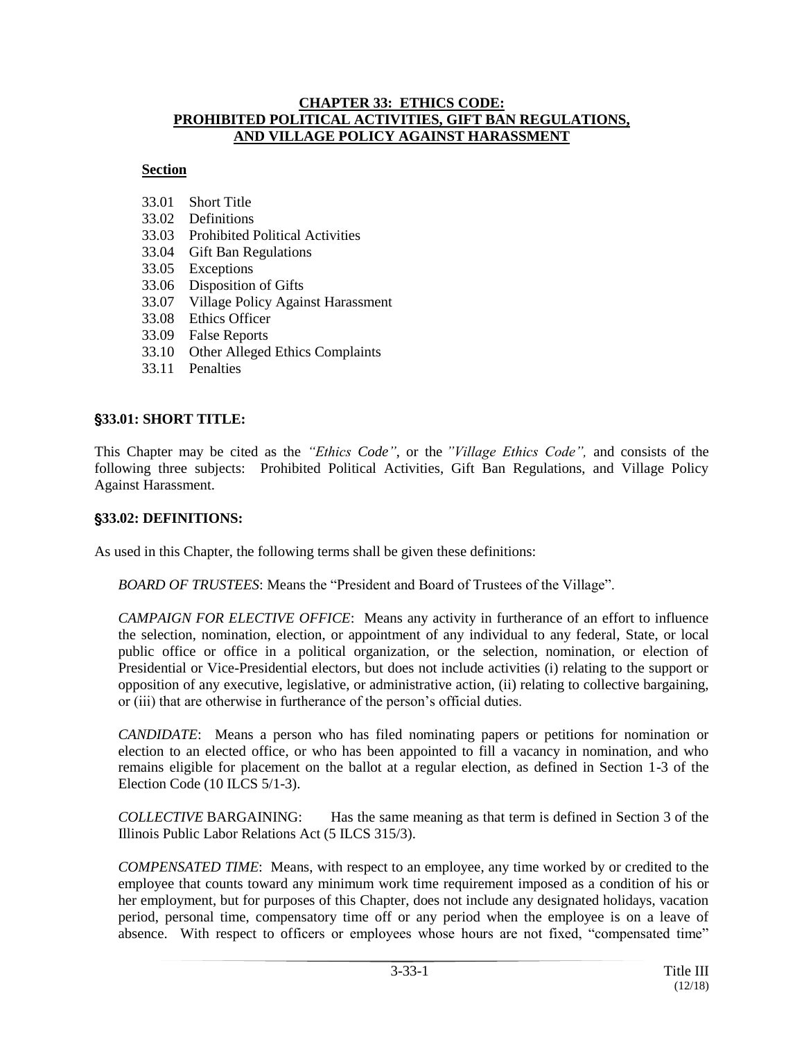#### **CHAPTER 33: ETHICS CODE: PROHIBITED POLITICAL ACTIVITIES, GIFT BAN REGULATIONS, AND VILLAGE POLICY AGAINST HARASSMENT**

#### **Section**

- 33.01 Short Title
- 33.02 Definitions
- 33.03 Prohibited Political Activities
- 33.04 Gift Ban Regulations
- 33.05 Exceptions
- 33.06 Disposition of Gifts
- 33.07 Village Policy Against Harassment
- 33.08 Ethics Officer
- 33.09 False Reports
- 33.10 Other Alleged Ethics Complaints
- 33.11 Penalties

## '**33.01: SHORT TITLE:**

This Chapter may be cited as the *"Ethics Code"*, or the *"Village Ethics Code",* and consists of the following three subjects: Prohibited Political Activities, Gift Ban Regulations, and Village Policy Against Harassment.

#### '**33.02: DEFINITIONS:**

As used in this Chapter, the following terms shall be given these definitions:

*BOARD OF TRUSTEES*: Means the "President and Board of Trustees of the Village".

*CAMPAIGN FOR ELECTIVE OFFICE*: Means any activity in furtherance of an effort to influence the selection, nomination, election, or appointment of any individual to any federal, State, or local public office or office in a political organization, or the selection, nomination, or election of Presidential or Vice-Presidential electors, but does not include activities (i) relating to the support or opposition of any executive, legislative, or administrative action, (ii) relating to collective bargaining, or (iii) that are otherwise in furtherance of the person's official duties.

*CANDIDATE*: Means a person who has filed nominating papers or petitions for nomination or election to an elected office, or who has been appointed to fill a vacancy in nomination, and who remains eligible for placement on the ballot at a regular election, as defined in Section 1-3 of the Election Code (10 ILCS 5/1-3).

*COLLECTIVE* BARGAINING: Has the same meaning as that term is defined in Section 3 of the Illinois Public Labor Relations Act (5 ILCS 315/3).

*COMPENSATED TIME*: Means, with respect to an employee, any time worked by or credited to the employee that counts toward any minimum work time requirement imposed as a condition of his or her employment, but for purposes of this Chapter, does not include any designated holidays, vacation period, personal time, compensatory time off or any period when the employee is on a leave of absence. With respect to officers or employees whose hours are not fixed, "compensated time"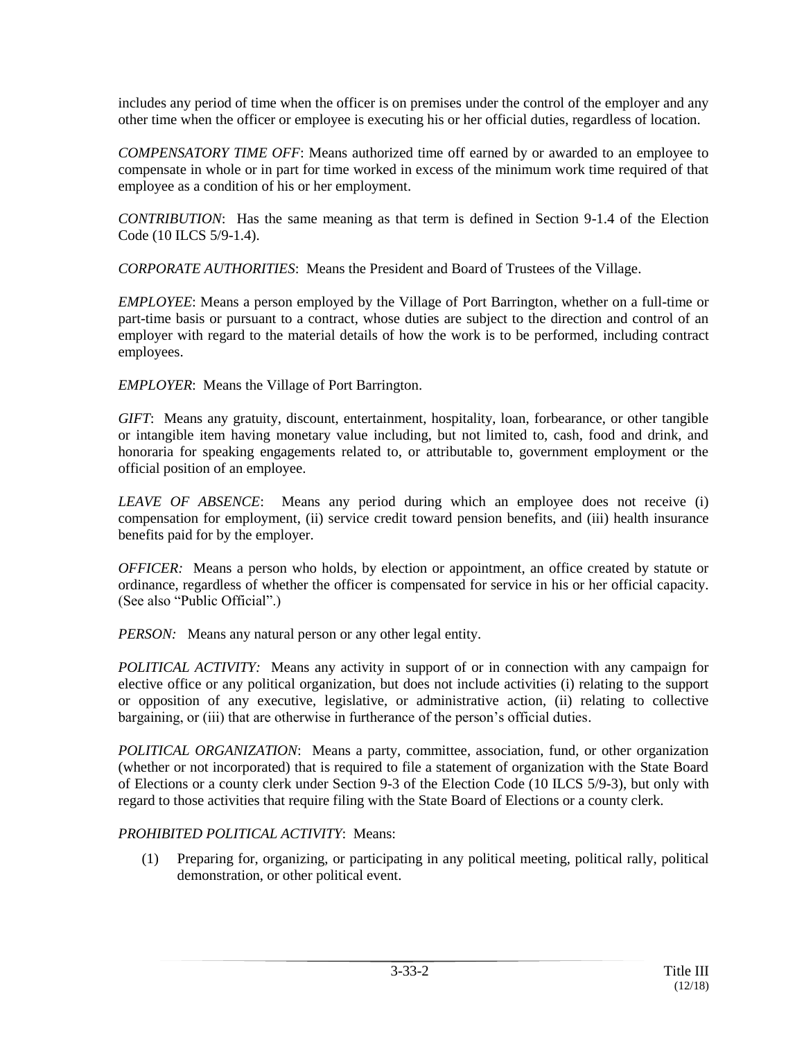includes any period of time when the officer is on premises under the control of the employer and any other time when the officer or employee is executing his or her official duties, regardless of location.

*COMPENSATORY TIME OFF*: Means authorized time off earned by or awarded to an employee to compensate in whole or in part for time worked in excess of the minimum work time required of that employee as a condition of his or her employment.

*CONTRIBUTION*: Has the same meaning as that term is defined in Section 9-1.4 of the Election Code (10 ILCS 5/9-1.4).

*CORPORATE AUTHORITIES*: Means the President and Board of Trustees of the Village.

*EMPLOYEE*: Means a person employed by the Village of Port Barrington, whether on a full-time or part-time basis or pursuant to a contract, whose duties are subject to the direction and control of an employer with regard to the material details of how the work is to be performed, including contract employees.

*EMPLOYER*: Means the Village of Port Barrington.

*GIFT*: Means any gratuity, discount, entertainment, hospitality, loan, forbearance, or other tangible or intangible item having monetary value including, but not limited to, cash, food and drink, and honoraria for speaking engagements related to, or attributable to, government employment or the official position of an employee.

*LEAVE OF ABSENCE*: Means any period during which an employee does not receive (i) compensation for employment, (ii) service credit toward pension benefits, and (iii) health insurance benefits paid for by the employer.

*OFFICER:* Means a person who holds, by election or appointment, an office created by statute or ordinance, regardless of whether the officer is compensated for service in his or her official capacity. (See also "Public Official".)

*PERSON:* Means any natural person or any other legal entity.

*POLITICAL ACTIVITY:* Means any activity in support of or in connection with any campaign for elective office or any political organization, but does not include activities (i) relating to the support or opposition of any executive, legislative, or administrative action, (ii) relating to collective bargaining, or (iii) that are otherwise in furtherance of the person's official duties.

*POLITICAL ORGANIZATION*: Means a party, committee, association, fund, or other organization (whether or not incorporated) that is required to file a statement of organization with the State Board of Elections or a county clerk under Section 9-3 of the Election Code (10 ILCS 5/9-3), but only with regard to those activities that require filing with the State Board of Elections or a county clerk.

# *PROHIBITED POLITICAL ACTIVITY*: Means:

(1) Preparing for, organizing, or participating in any political meeting, political rally, political demonstration, or other political event.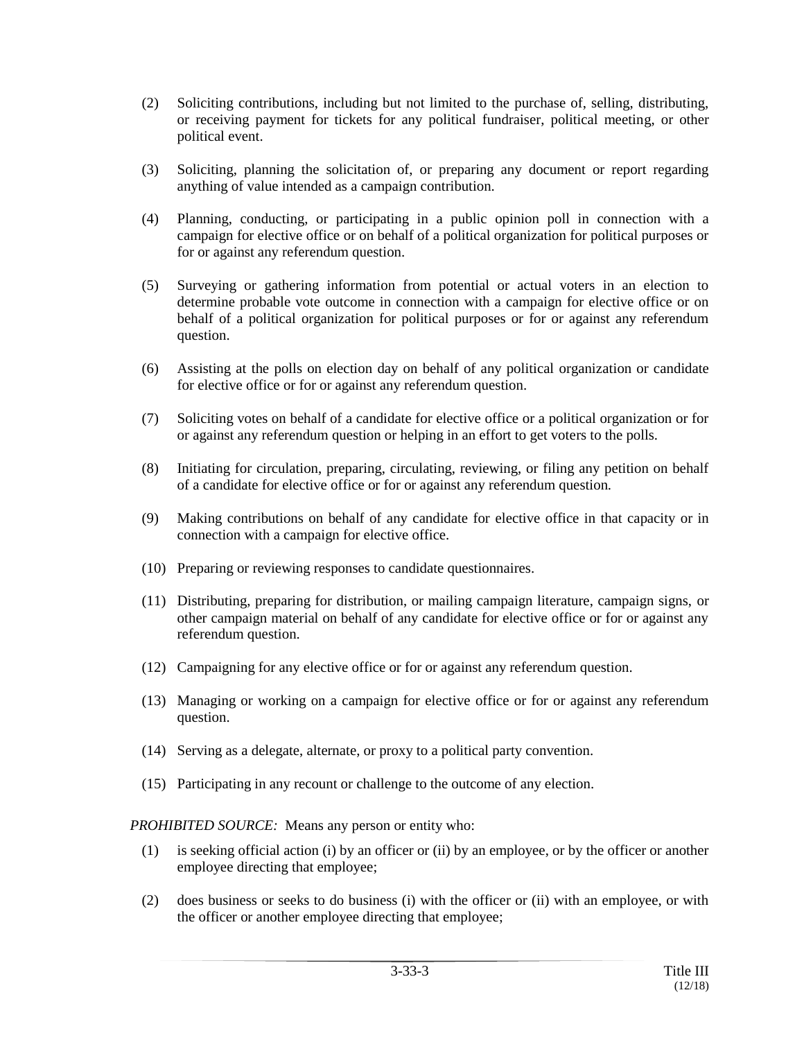- (2) Soliciting contributions, including but not limited to the purchase of, selling, distributing, or receiving payment for tickets for any political fundraiser, political meeting, or other political event.
- (3) Soliciting, planning the solicitation of, or preparing any document or report regarding anything of value intended as a campaign contribution.
- (4) Planning, conducting, or participating in a public opinion poll in connection with a campaign for elective office or on behalf of a political organization for political purposes or for or against any referendum question.
- (5) Surveying or gathering information from potential or actual voters in an election to determine probable vote outcome in connection with a campaign for elective office or on behalf of a political organization for political purposes or for or against any referendum question.
- (6) Assisting at the polls on election day on behalf of any political organization or candidate for elective office or for or against any referendum question.
- (7) Soliciting votes on behalf of a candidate for elective office or a political organization or for or against any referendum question or helping in an effort to get voters to the polls.
- (8) Initiating for circulation, preparing, circulating, reviewing, or filing any petition on behalf of a candidate for elective office or for or against any referendum question.
- (9) Making contributions on behalf of any candidate for elective office in that capacity or in connection with a campaign for elective office.
- (10) Preparing or reviewing responses to candidate questionnaires.
- (11) Distributing, preparing for distribution, or mailing campaign literature, campaign signs, or other campaign material on behalf of any candidate for elective office or for or against any referendum question.
- (12) Campaigning for any elective office or for or against any referendum question.
- (13) Managing or working on a campaign for elective office or for or against any referendum question.
- (14) Serving as a delegate, alternate, or proxy to a political party convention.
- (15) Participating in any recount or challenge to the outcome of any election.

*PROHIBITED SOURCE:* Means any person or entity who:

- (1) is seeking official action (i) by an officer or (ii) by an employee, or by the officer or another employee directing that employee;
- (2) does business or seeks to do business (i) with the officer or (ii) with an employee, or with the officer or another employee directing that employee;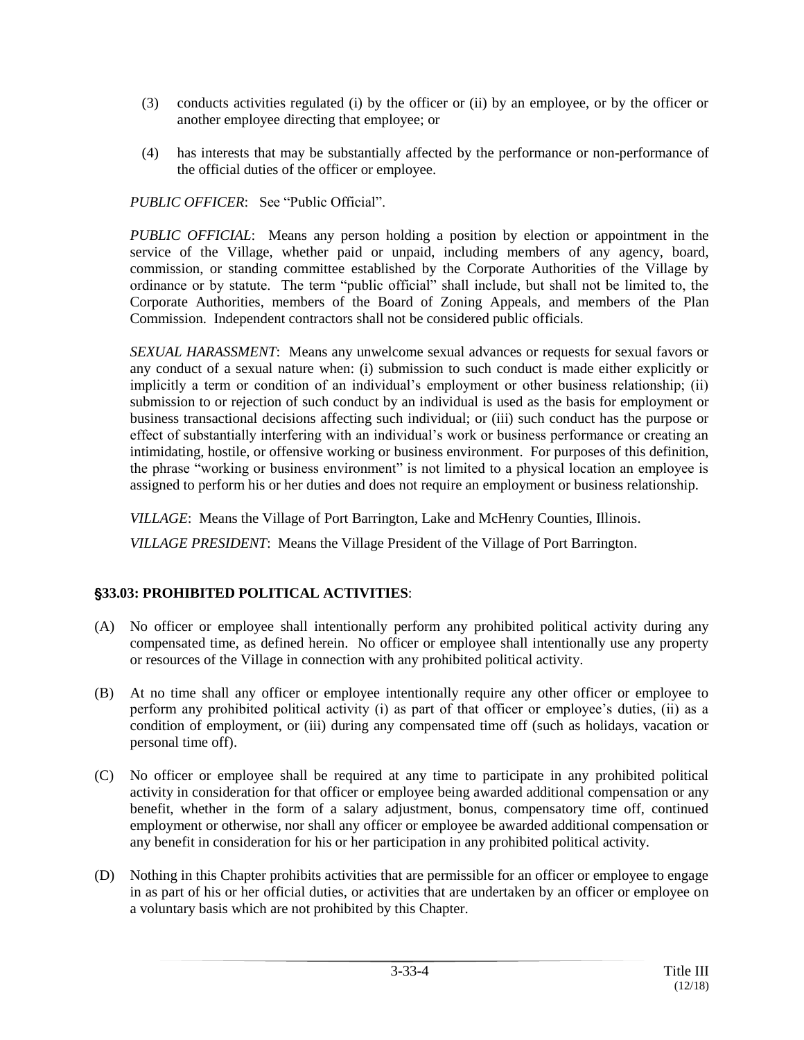- (3) conducts activities regulated (i) by the officer or (ii) by an employee, or by the officer or another employee directing that employee; or
- (4) has interests that may be substantially affected by the performance or non-performance of the official duties of the officer or employee.

*PUBLIC OFFICER*: See "Public Official".

*PUBLIC OFFICIAL*: Means any person holding a position by election or appointment in the service of the Village, whether paid or unpaid, including members of any agency, board, commission, or standing committee established by the Corporate Authorities of the Village by ordinance or by statute. The term "public official" shall include, but shall not be limited to, the Corporate Authorities, members of the Board of Zoning Appeals, and members of the Plan Commission. Independent contractors shall not be considered public officials.

*SEXUAL HARASSMENT*: Means any unwelcome sexual advances or requests for sexual favors or any conduct of a sexual nature when: (i) submission to such conduct is made either explicitly or implicitly a term or condition of an individual's employment or other business relationship; (ii) submission to or rejection of such conduct by an individual is used as the basis for employment or business transactional decisions affecting such individual; or (iii) such conduct has the purpose or effect of substantially interfering with an individual's work or business performance or creating an intimidating, hostile, or offensive working or business environment. For purposes of this definition, the phrase "working or business environment" is not limited to a physical location an employee is assigned to perform his or her duties and does not require an employment or business relationship.

*VILLAGE*: Means the Village of Port Barrington, Lake and McHenry Counties, Illinois.

*VILLAGE PRESIDENT*: Means the Village President of the Village of Port Barrington.

# '**33.03: PROHIBITED POLITICAL ACTIVITIES**:

- (A) No officer or employee shall intentionally perform any prohibited political activity during any compensated time, as defined herein. No officer or employee shall intentionally use any property or resources of the Village in connection with any prohibited political activity.
- (B) At no time shall any officer or employee intentionally require any other officer or employee to perform any prohibited political activity (i) as part of that officer or employee's duties, (ii) as a condition of employment, or (iii) during any compensated time off (such as holidays, vacation or personal time off).
- (C) No officer or employee shall be required at any time to participate in any prohibited political activity in consideration for that officer or employee being awarded additional compensation or any benefit, whether in the form of a salary adjustment, bonus, compensatory time off, continued employment or otherwise, nor shall any officer or employee be awarded additional compensation or any benefit in consideration for his or her participation in any prohibited political activity.
- (D) Nothing in this Chapter prohibits activities that are permissible for an officer or employee to engage in as part of his or her official duties, or activities that are undertaken by an officer or employee on a voluntary basis which are not prohibited by this Chapter.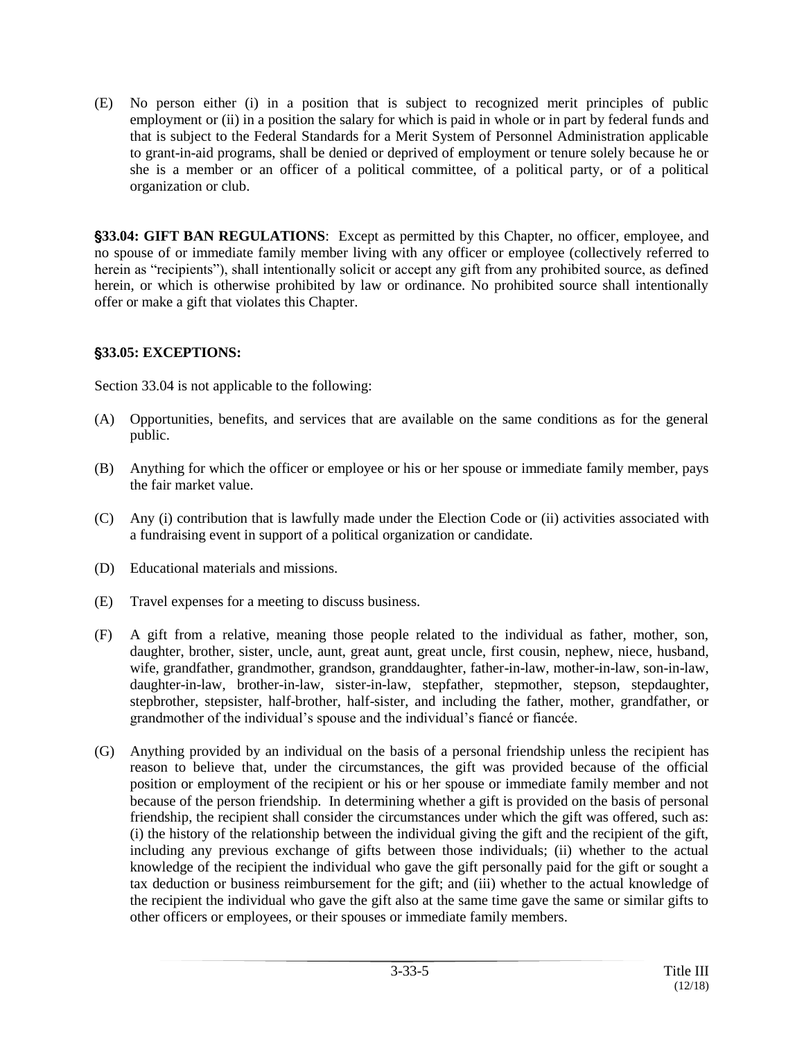(E) No person either (i) in a position that is subject to recognized merit principles of public employment or (ii) in a position the salary for which is paid in whole or in part by federal funds and that is subject to the Federal Standards for a Merit System of Personnel Administration applicable to grant-in-aid programs, shall be denied or deprived of employment or tenure solely because he or she is a member or an officer of a political committee, of a political party, or of a political organization or club.

'**33.04: GIFT BAN REGULATIONS**: Except as permitted by this Chapter, no officer, employee, and no spouse of or immediate family member living with any officer or employee (collectively referred to herein as "recipients"), shall intentionally solicit or accept any gift from any prohibited source, as defined herein, or which is otherwise prohibited by law or ordinance. No prohibited source shall intentionally offer or make a gift that violates this Chapter.

## '**33.05: EXCEPTIONS:**

Section 33.04 is not applicable to the following:

- (A) Opportunities, benefits, and services that are available on the same conditions as for the general public.
- (B) Anything for which the officer or employee or his or her spouse or immediate family member, pays the fair market value.
- (C) Any (i) contribution that is lawfully made under the Election Code or (ii) activities associated with a fundraising event in support of a political organization or candidate.
- (D) Educational materials and missions.
- (E) Travel expenses for a meeting to discuss business.
- (F) A gift from a relative, meaning those people related to the individual as father, mother, son, daughter, brother, sister, uncle, aunt, great aunt, great uncle, first cousin, nephew, niece, husband, wife, grandfather, grandmother, grandson, granddaughter, father-in-law, mother-in-law, son-in-law, daughter-in-law, brother-in-law, sister-in-law, stepfather, stepmother, stepson, stepdaughter, stepbrother, stepsister, half-brother, half-sister, and including the father, mother, grandfather, or grandmother of the individual's spouse and the individual's fiancé or fiancée.
- (G) Anything provided by an individual on the basis of a personal friendship unless the recipient has reason to believe that, under the circumstances, the gift was provided because of the official position or employment of the recipient or his or her spouse or immediate family member and not because of the person friendship. In determining whether a gift is provided on the basis of personal friendship, the recipient shall consider the circumstances under which the gift was offered, such as: (i) the history of the relationship between the individual giving the gift and the recipient of the gift, including any previous exchange of gifts between those individuals; (ii) whether to the actual knowledge of the recipient the individual who gave the gift personally paid for the gift or sought a tax deduction or business reimbursement for the gift; and (iii) whether to the actual knowledge of the recipient the individual who gave the gift also at the same time gave the same or similar gifts to other officers or employees, or their spouses or immediate family members.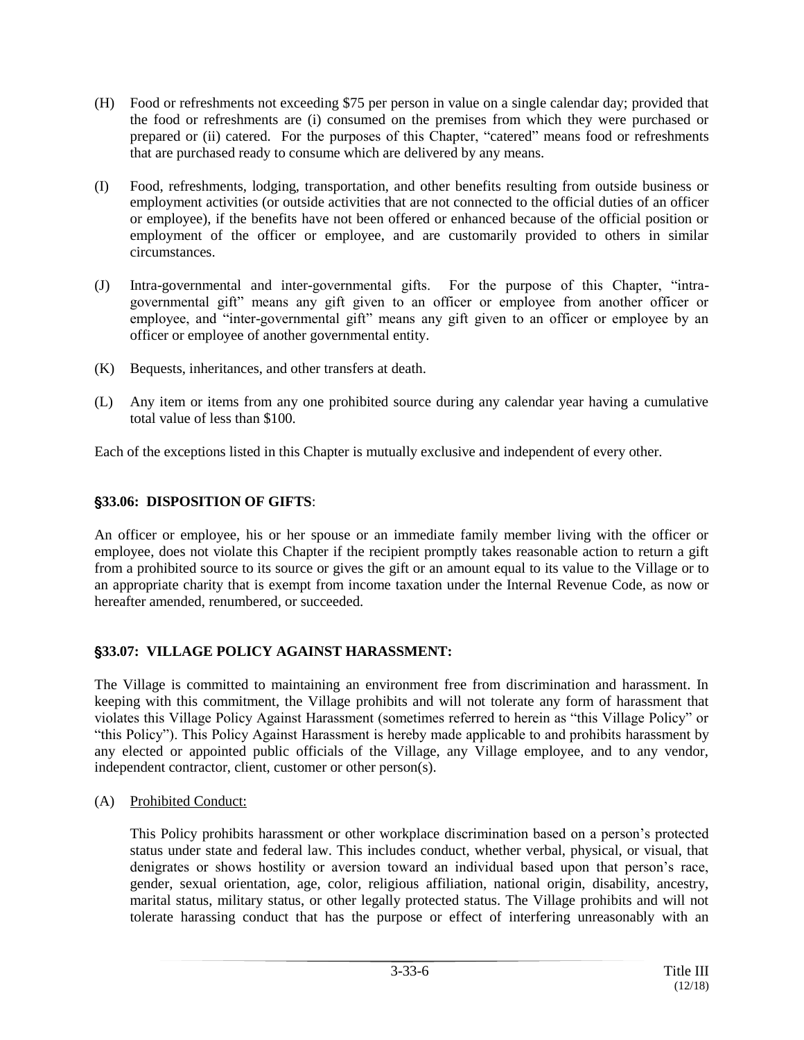- (H) Food or refreshments not exceeding \$75 per person in value on a single calendar day; provided that the food or refreshments are (i) consumed on the premises from which they were purchased or prepared or (ii) catered. For the purposes of this Chapter, "catered" means food or refreshments that are purchased ready to consume which are delivered by any means.
- (I) Food, refreshments, lodging, transportation, and other benefits resulting from outside business or employment activities (or outside activities that are not connected to the official duties of an officer or employee), if the benefits have not been offered or enhanced because of the official position or employment of the officer or employee, and are customarily provided to others in similar circumstances.
- (J) Intra-governmental and inter-governmental gifts. For the purpose of this Chapter, "intragovernmental gift" means any gift given to an officer or employee from another officer or employee, and "inter-governmental gift" means any gift given to an officer or employee by an officer or employee of another governmental entity.
- (K) Bequests, inheritances, and other transfers at death.
- (L) Any item or items from any one prohibited source during any calendar year having a cumulative total value of less than \$100.

Each of the exceptions listed in this Chapter is mutually exclusive and independent of every other.

# '**33.06: DISPOSITION OF GIFTS**:

An officer or employee, his or her spouse or an immediate family member living with the officer or employee, does not violate this Chapter if the recipient promptly takes reasonable action to return a gift from a prohibited source to its source or gives the gift or an amount equal to its value to the Village or to an appropriate charity that is exempt from income taxation under the Internal Revenue Code, as now or hereafter amended, renumbered, or succeeded.

## '**33.07: VILLAGE POLICY AGAINST HARASSMENT:**

The Village is committed to maintaining an environment free from discrimination and harassment. In keeping with this commitment, the Village prohibits and will not tolerate any form of harassment that violates this Village Policy Against Harassment (sometimes referred to herein as "this Village Policy" or "this Policy"). This Policy Against Harassment is hereby made applicable to and prohibits harassment by any elected or appointed public officials of the Village, any Village employee, and to any vendor, independent contractor, client, customer or other person(s).

(A) Prohibited Conduct:

This Policy prohibits harassment or other workplace discrimination based on a person's protected status under state and federal law. This includes conduct, whether verbal, physical, or visual, that denigrates or shows hostility or aversion toward an individual based upon that person's race, gender, sexual orientation, age, color, religious affiliation, national origin, disability, ancestry, marital status, military status, or other legally protected status. The Village prohibits and will not tolerate harassing conduct that has the purpose or effect of interfering unreasonably with an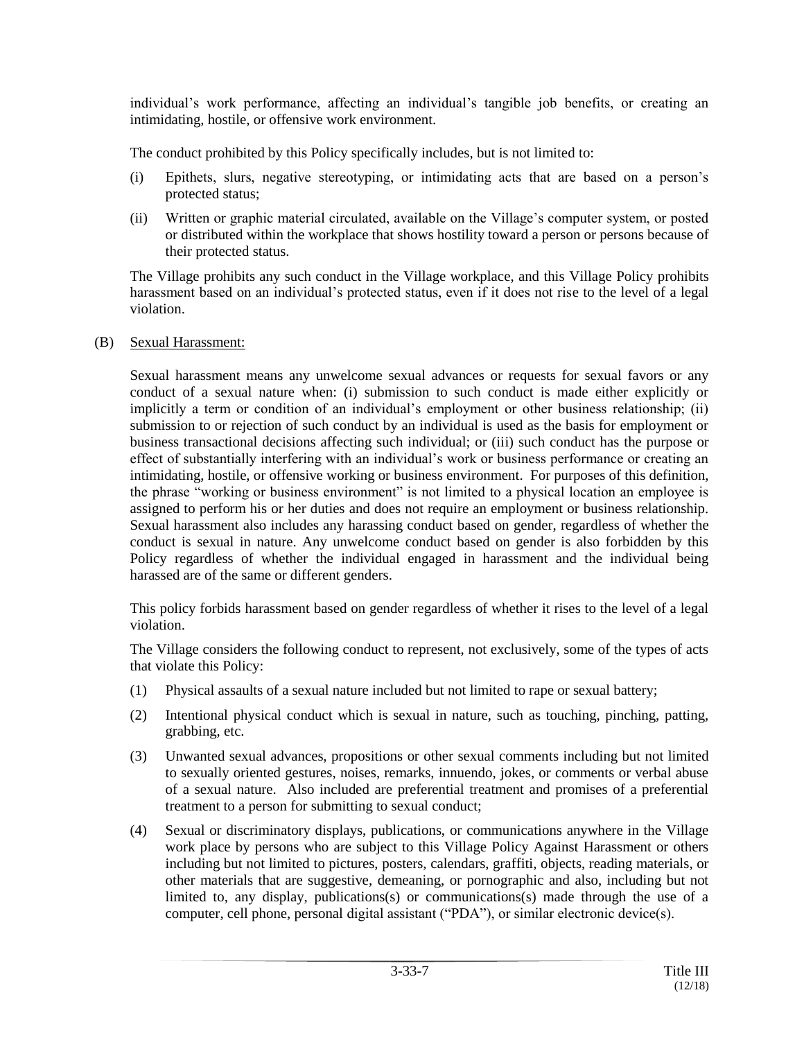individual's work performance, affecting an individual's tangible job benefits, or creating an intimidating, hostile, or offensive work environment.

The conduct prohibited by this Policy specifically includes, but is not limited to:

- (i) Epithets, slurs, negative stereotyping, or intimidating acts that are based on a person's protected status;
- (ii) Written or graphic material circulated, available on the Village's computer system, or posted or distributed within the workplace that shows hostility toward a person or persons because of their protected status.

The Village prohibits any such conduct in the Village workplace, and this Village Policy prohibits harassment based on an individual's protected status, even if it does not rise to the level of a legal violation.

## (B) Sexual Harassment:

Sexual harassment means any unwelcome sexual advances or requests for sexual favors or any conduct of a sexual nature when: (i) submission to such conduct is made either explicitly or implicitly a term or condition of an individual's employment or other business relationship; (ii) submission to or rejection of such conduct by an individual is used as the basis for employment or business transactional decisions affecting such individual; or (iii) such conduct has the purpose or effect of substantially interfering with an individual's work or business performance or creating an intimidating, hostile, or offensive working or business environment. For purposes of this definition, the phrase "working or business environment" is not limited to a physical location an employee is assigned to perform his or her duties and does not require an employment or business relationship. Sexual harassment also includes any harassing conduct based on gender, regardless of whether the conduct is sexual in nature. Any unwelcome conduct based on gender is also forbidden by this Policy regardless of whether the individual engaged in harassment and the individual being harassed are of the same or different genders.

This policy forbids harassment based on gender regardless of whether it rises to the level of a legal violation.

The Village considers the following conduct to represent, not exclusively, some of the types of acts that violate this Policy:

- (1) Physical assaults of a sexual nature included but not limited to rape or sexual battery;
- (2) Intentional physical conduct which is sexual in nature, such as touching, pinching, patting, grabbing, etc.
- (3) Unwanted sexual advances, propositions or other sexual comments including but not limited to sexually oriented gestures, noises, remarks, innuendo, jokes, or comments or verbal abuse of a sexual nature. Also included are preferential treatment and promises of a preferential treatment to a person for submitting to sexual conduct;
- (4) Sexual or discriminatory displays, publications, or communications anywhere in the Village work place by persons who are subject to this Village Policy Against Harassment or others including but not limited to pictures, posters, calendars, graffiti, objects, reading materials, or other materials that are suggestive, demeaning, or pornographic and also, including but not limited to, any display, publications(s) or communications(s) made through the use of a computer, cell phone, personal digital assistant ("PDA"), or similar electronic device(s).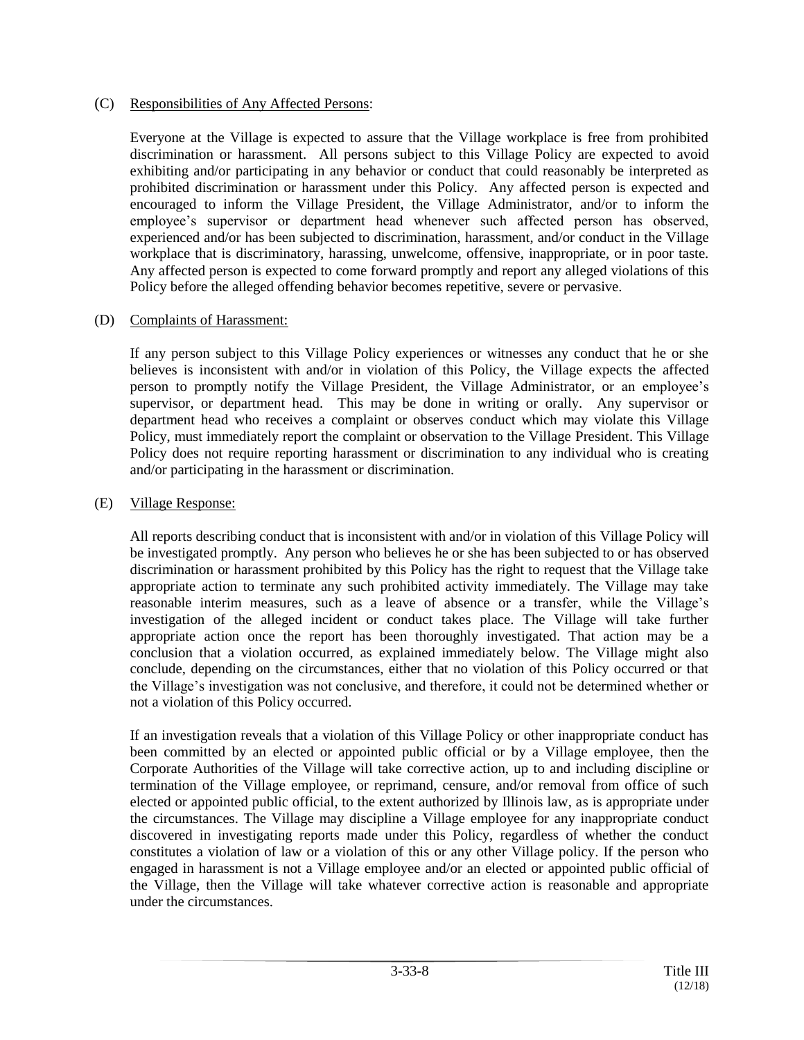#### (C) Responsibilities of Any Affected Persons:

Everyone at the Village is expected to assure that the Village workplace is free from prohibited discrimination or harassment. All persons subject to this Village Policy are expected to avoid exhibiting and/or participating in any behavior or conduct that could reasonably be interpreted as prohibited discrimination or harassment under this Policy. Any affected person is expected and encouraged to inform the Village President, the Village Administrator, and/or to inform the employee's supervisor or department head whenever such affected person has observed, experienced and/or has been subjected to discrimination, harassment, and/or conduct in the Village workplace that is discriminatory, harassing, unwelcome, offensive, inappropriate, or in poor taste. Any affected person is expected to come forward promptly and report any alleged violations of this Policy before the alleged offending behavior becomes repetitive, severe or pervasive.

#### (D) Complaints of Harassment:

If any person subject to this Village Policy experiences or witnesses any conduct that he or she believes is inconsistent with and/or in violation of this Policy, the Village expects the affected person to promptly notify the Village President, the Village Administrator, or an employee's supervisor, or department head. This may be done in writing or orally. Any supervisor or department head who receives a complaint or observes conduct which may violate this Village Policy, must immediately report the complaint or observation to the Village President. This Village Policy does not require reporting harassment or discrimination to any individual who is creating and/or participating in the harassment or discrimination.

## (E) Village Response:

All reports describing conduct that is inconsistent with and/or in violation of this Village Policy will be investigated promptly. Any person who believes he or she has been subjected to or has observed discrimination or harassment prohibited by this Policy has the right to request that the Village take appropriate action to terminate any such prohibited activity immediately. The Village may take reasonable interim measures, such as a leave of absence or a transfer, while the Village's investigation of the alleged incident or conduct takes place. The Village will take further appropriate action once the report has been thoroughly investigated. That action may be a conclusion that a violation occurred, as explained immediately below. The Village might also conclude, depending on the circumstances, either that no violation of this Policy occurred or that the Village's investigation was not conclusive, and therefore, it could not be determined whether or not a violation of this Policy occurred.

If an investigation reveals that a violation of this Village Policy or other inappropriate conduct has been committed by an elected or appointed public official or by a Village employee, then the Corporate Authorities of the Village will take corrective action, up to and including discipline or termination of the Village employee, or reprimand, censure, and/or removal from office of such elected or appointed public official, to the extent authorized by Illinois law, as is appropriate under the circumstances. The Village may discipline a Village employee for any inappropriate conduct discovered in investigating reports made under this Policy, regardless of whether the conduct constitutes a violation of law or a violation of this or any other Village policy. If the person who engaged in harassment is not a Village employee and/or an elected or appointed public official of the Village, then the Village will take whatever corrective action is reasonable and appropriate under the circumstances.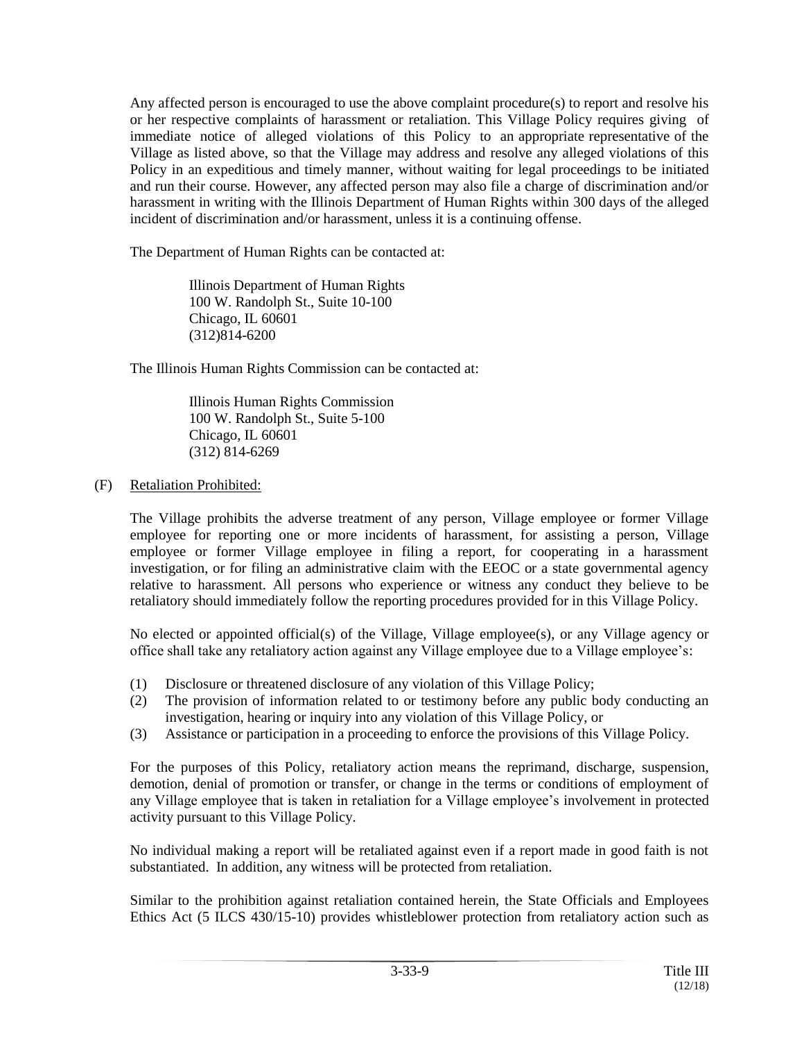Any affected person is encouraged to use the above complaint procedure(s) to report and resolve his or her respective complaints of harassment or retaliation. This Village Policy requires giving of immediate notice of alleged violations of this Policy to an appropriate representative of the Village as listed above, so that the Village may address and resolve any alleged violations of this Policy in an expeditious and timely manner, without waiting for legal proceedings to be initiated and run their course. However, any affected person may also file a charge of discrimination and/or harassment in writing with the Illinois Department of Human Rights within 300 days of the alleged incident of discrimination and/or harassment, unless it is a continuing offense.

The Department of Human Rights can be contacted at:

Illinois Department of Human Rights 100 W. Randolph St., Suite 10-100 Chicago, IL 60601 (312)814-6200

The Illinois Human Rights Commission can be contacted at:

Illinois Human Rights Commission 100 W. Randolph St., Suite 5-100 Chicago, IL 60601 (312) 814-6269

(F) Retaliation Prohibited:

The Village prohibits the adverse treatment of any person, Village employee or former Village employee for reporting one or more incidents of harassment, for assisting a person, Village employee or former Village employee in filing a report, for cooperating in a harassment investigation, or for filing an administrative claim with the EEOC or a state governmental agency relative to harassment. All persons who experience or witness any conduct they believe to be retaliatory should immediately follow the reporting procedures provided for in this Village Policy.

No elected or appointed official(s) of the Village, Village employee(s), or any Village agency or office shall take any retaliatory action against any Village employee due to a Village employee's:

- (1) Disclosure or threatened disclosure of any violation of this Village Policy;
- (2) The provision of information related to or testimony before any public body conducting an investigation, hearing or inquiry into any violation of this Village Policy, or
- (3) Assistance or participation in a proceeding to enforce the provisions of this Village Policy.

For the purposes of this Policy, retaliatory action means the reprimand, discharge, suspension, demotion, denial of promotion or transfer, or change in the terms or conditions of employment of any Village employee that is taken in retaliation for a Village employee's involvement in protected activity pursuant to this Village Policy.

No individual making a report will be retaliated against even if a report made in good faith is not substantiated. In addition, any witness will be protected from retaliation.

Similar to the prohibition against retaliation contained herein, the State Officials and Employees Ethics Act (5 ILCS 430/15-10) provides whistleblower protection from retaliatory action such as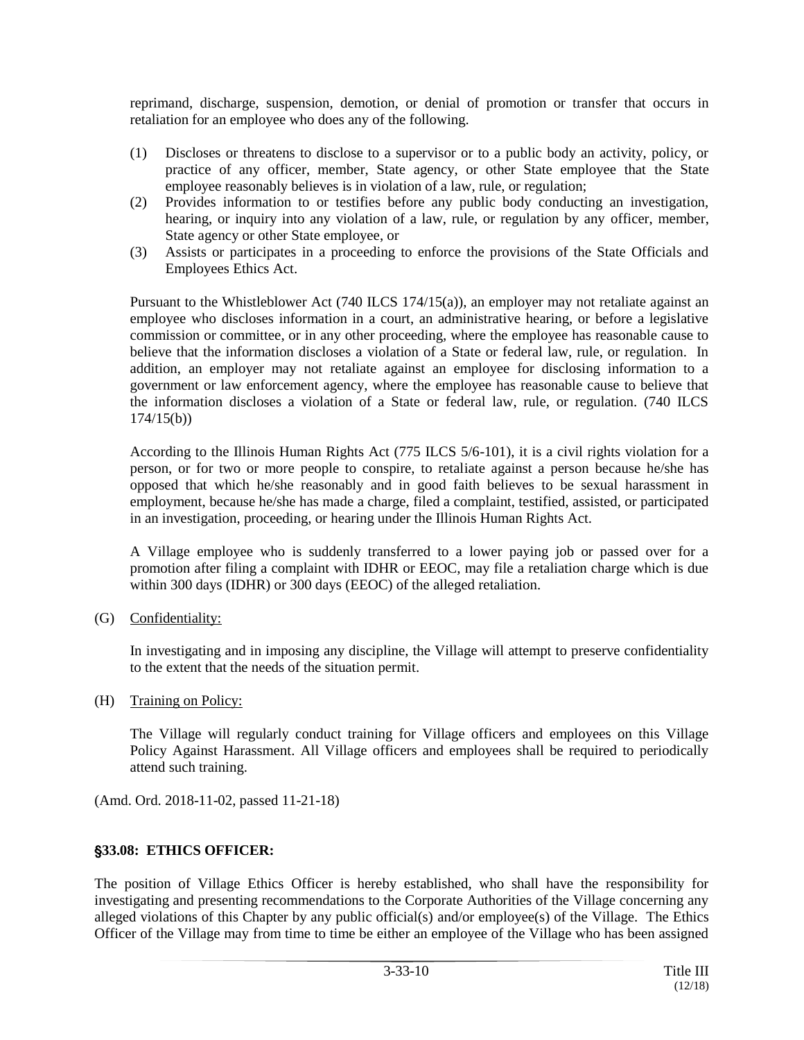reprimand, discharge, suspension, demotion, or denial of promotion or transfer that occurs in retaliation for an employee who does any of the following.

- (1) Discloses or threatens to disclose to a supervisor or to a public body an activity, policy, or practice of any officer, member, State agency, or other State employee that the State employee reasonably believes is in violation of a law, rule, or regulation;
- (2) Provides information to or testifies before any public body conducting an investigation, hearing, or inquiry into any violation of a law, rule, or regulation by any officer, member, State agency or other State employee, or
- (3) Assists or participates in a proceeding to enforce the provisions of the State Officials and Employees Ethics Act.

Pursuant to the Whistleblower Act (740 ILCS 174/15(a)), an employer may not retaliate against an employee who discloses information in a court, an administrative hearing, or before a legislative commission or committee, or in any other proceeding, where the employee has reasonable cause to believe that the information discloses a violation of a State or federal law, rule, or regulation. In addition, an employer may not retaliate against an employee for disclosing information to a government or law enforcement agency, where the employee has reasonable cause to believe that the information discloses a violation of a State or federal law, rule, or regulation. (740 ILCS  $174/15(b)$ 

According to the Illinois Human Rights Act (775 ILCS 5/6-101), it is a civil rights violation for a person, or for two or more people to conspire, to retaliate against a person because he/she has opposed that which he/she reasonably and in good faith believes to be sexual harassment in employment, because he/she has made a charge, filed a complaint, testified, assisted, or participated in an investigation, proceeding, or hearing under the Illinois Human Rights Act.

A Village employee who is suddenly transferred to a lower paying job or passed over for a promotion after filing a complaint with IDHR or EEOC, may file a retaliation charge which is due within 300 days (IDHR) or 300 days (EEOC) of the alleged retaliation.

(G) Confidentiality:

In investigating and in imposing any discipline, the Village will attempt to preserve confidentiality to the extent that the needs of the situation permit.

(H) Training on Policy:

The Village will regularly conduct training for Village officers and employees on this Village Policy Against Harassment. All Village officers and employees shall be required to periodically attend such training.

(Amd. Ord. 2018-11-02, passed 11-21-18)

## '**33.08: ETHICS OFFICER:**

The position of Village Ethics Officer is hereby established, who shall have the responsibility for investigating and presenting recommendations to the Corporate Authorities of the Village concerning any alleged violations of this Chapter by any public official(s) and/or employee(s) of the Village. The Ethics Officer of the Village may from time to time be either an employee of the Village who has been assigned